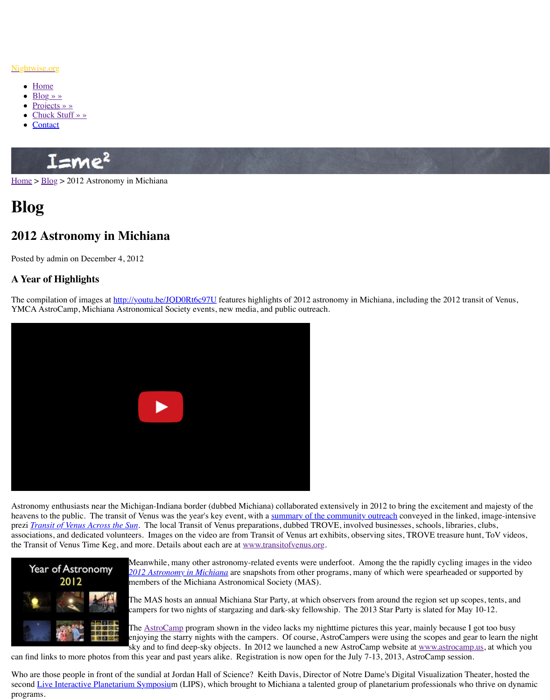## **A Year of Highlights**

The compilation of images at http://youtu.be/JQD0Rt6c97U features highlights of 2012 astronomy in Michiana, including the 2012 transit of 2012 transit of 2012 transit of Venus, including the 2012 transit of Venus, the cont YMCA AstroCamp, Michiana Astronomical Society events, new media, and public outreach.



Astronomy enthusiasts near the Michigan-Indiana border (dubbed Michiana) collaborated ex heavens to the public. The transit of Venus was the year's key event, with a summary of the prezi *Transit of Venus Across the Sun*. The local Transit of Venus preparations, dubbed TRC associations, and dedicated volunteers. Images on the video are from Transit of Venus art exhibits, and dedicated volunteers. The video are from Transit of Venus art exhibits, Treasure hunt, Tove treasure hunt, Tove and Tr the Transit of Venus Time Keg, and more. Details about each are at www.transitofvenus.org.



Meanwhile, many other astronomy-related events were un *[2012 Astronomy in Michia](http://youtu.be/JQD0Rt6c97U)na* are snapshots from other programs, and which we are spearhed as  $\mu$ members of the Michiana Astronomical Society (MAS).

The MAS hosts an annual Michiana Star Party, at which o campers for two nights of stargazing and dark-sky fellows.

The **AstroCamp** program shown in the video lacks my night enjoying the starry nights with the campers. Of course, A sky and to find deep-sky objects. In 2012 we launched a new

can find links to more photos from this year and past years alike. Registration is now open f

Who are those people in front of the sundial at Jordan Hall of Science? Keith Davis, Director second Live Interactive Planetarium Symposium (LIPS), which brought to Michiana a talent programs.